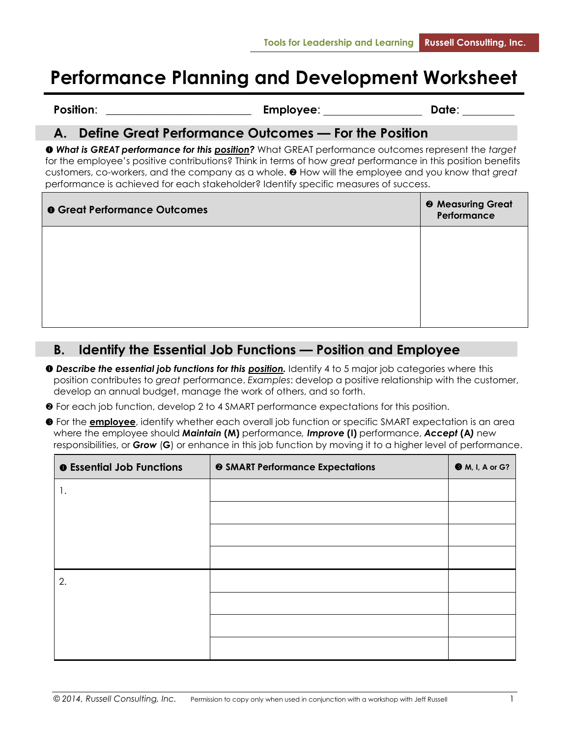# **Performance Planning and Development Worksheet**

Position: **Constanting Employee: Position: Date**:

# **A. Define Great Performance Outcomes — For the Position**

 *What is GREAT performance for this position?* What GREAT performance outcomes represent the *target* for the employee's positive contributions? Think in terms of how *great* performance in this position benefits customers, co-workers, and the company as a whole. <sup><sup>0</sup> How will the employee and you know that *great*</sup> performance is achieved for each stakeholder? Identify specific measures of success.

| <b>O</b> Great Performance Outcomes | <sup>@</sup> Measuring Great<br>Performance |
|-------------------------------------|---------------------------------------------|
|                                     |                                             |
|                                     |                                             |
|                                     |                                             |

# **B. Identify the Essential Job Functions — Position and Employee**

- **O** Describe the essential job functions for this **position**. Identify 4 to 5 major job categories where this position contributes to *great* performance. *Examples*: develop a positive relationship with the customer, develop an annual budget, manage the work of others, and so forth.
- For each job function, develop 2 to 4 SMART performance expectations for this position.
- For the **employee**, identify whether each overall job function or specific SMART expectation is an area where the employee should *Maintain* **(M)** performance*, Improve* **(I)** performance, *Accept* **(A***)* new responsibilities, or *Grow* (**G**) or enhance in this job function by moving it to a higher level of performance.

| <b>O</b> Essential Job Functions | <sup>9</sup> SMART Performance Expectations | <b>M</b> , I, A or G? |
|----------------------------------|---------------------------------------------|-----------------------|
| 1.                               |                                             |                       |
|                                  |                                             |                       |
|                                  |                                             |                       |
|                                  |                                             |                       |
| 2.                               |                                             |                       |
|                                  |                                             |                       |
|                                  |                                             |                       |
|                                  |                                             |                       |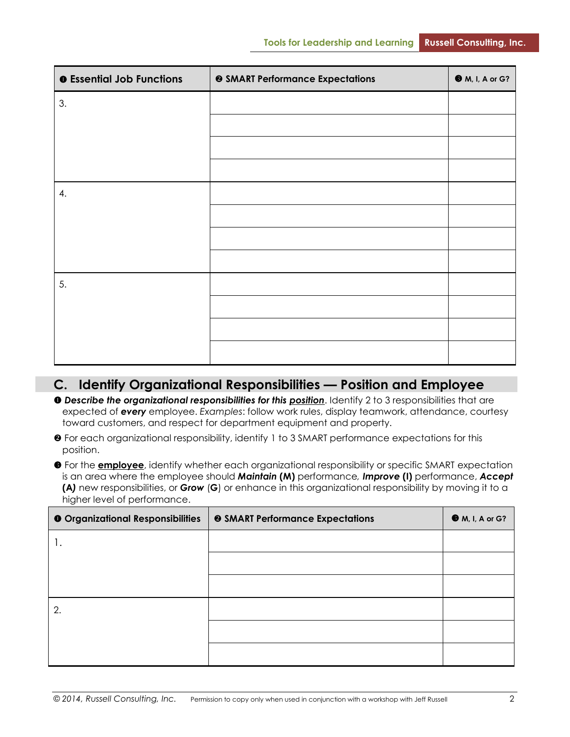| <b>O</b> Essential Job Functions | <b>@ SMART Performance Expectations</b> | <b>M</b> , I, A or G? |
|----------------------------------|-----------------------------------------|-----------------------|
| 3.                               |                                         |                       |
|                                  |                                         |                       |
|                                  |                                         |                       |
|                                  |                                         |                       |
| 4.                               |                                         |                       |
|                                  |                                         |                       |
|                                  |                                         |                       |
|                                  |                                         |                       |
| 5.                               |                                         |                       |
|                                  |                                         |                       |
|                                  |                                         |                       |
|                                  |                                         |                       |

#### **C. Identify Organizational Responsibilities — Position and Employee**

- *Describe the organizational responsibilities for this position*. Identify 2 to 3 responsibilities that are expected of *every* employee. *Examples*: follow work rules, display teamwork, attendance, courtesy toward customers, and respect for department equipment and property.
- For each organizational responsibility, identify 1 to 3 SMART performance expectations for this position.
- **•** For the **employee**, identify whether each organizational responsibility or specific SMART expectation is an area where the employee should *Maintain* **(M)** performance*, Improve* **(I)** performance, *Accept* **(A***)* new responsibilities, or *Grow* (**G**) or enhance in this organizational responsibility by moving it to a higher level of performance.

| <b>O</b> Organizational Responsibilities | <b>@ SMART Performance Expectations</b> | <b>M</b> , I, A or G? |
|------------------------------------------|-----------------------------------------|-----------------------|
|                                          |                                         |                       |
|                                          |                                         |                       |
|                                          |                                         |                       |
| 2.                                       |                                         |                       |
|                                          |                                         |                       |
|                                          |                                         |                       |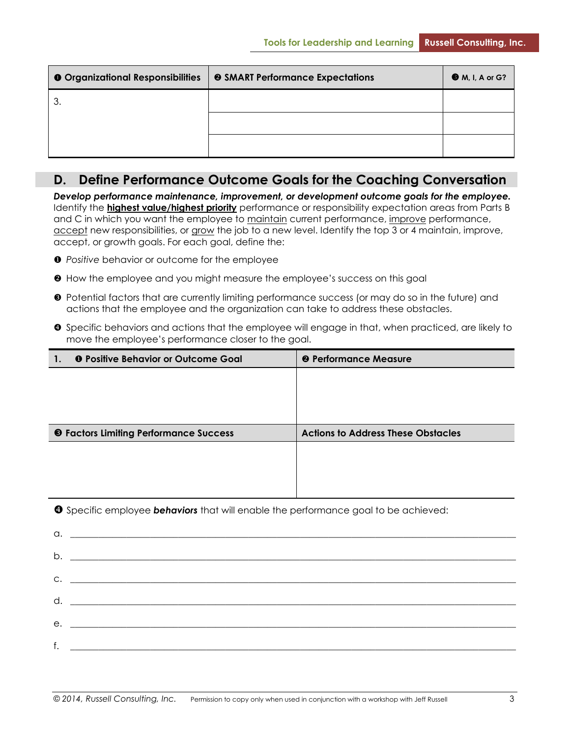| <b>O</b> Organizational Responsibilities | <b>@ SMART Performance Expectations</b> | <b>O</b> M, I, A or G? |
|------------------------------------------|-----------------------------------------|------------------------|
| 3.                                       |                                         |                        |
|                                          |                                         |                        |
|                                          |                                         |                        |

#### **D. Define Performance Outcome Goals for the Coaching Conversation**

*Develop performance maintenance, improvement, or development outcome goals for the employee.* Identify the **highest value/highest priority** performance or responsibility expectation areas from Parts B and C in which you want the employee to maintain current performance, improve performance, accept new responsibilities, or grow the job to a new level. Identify the top 3 or 4 maintain, improve, accept, or growth goals. For each goal, define the:

- *Positive* behavior or outcome for the employee
- $\Theta$  How the employee and you might measure the employee's success on this goal
- Potential factors that are currently limiting performance success (or may do so in the future) and actions that the employee and the organization can take to address these obstacles.
- **O** Specific behaviors and actions that the employee will engage in that, when practiced, are likely to move the employee's performance closer to the goal.

| 1. | <b>O</b> Positive Behavior or Outcome Goal    | <b>@ Performance Measure</b>              |
|----|-----------------------------------------------|-------------------------------------------|
|    |                                               |                                           |
|    |                                               |                                           |
|    |                                               |                                           |
|    |                                               |                                           |
|    |                                               |                                           |
|    | <b>6</b> Factors Limiting Performance Success | <b>Actions to Address These Obstacles</b> |
|    |                                               |                                           |
|    |                                               |                                           |
|    |                                               |                                           |

**O** Specific employee **behaviors** that will enable the performance goal to be achieved:

| $\begin{tabular}{c} $\alpha$, \end{tabular}$        |  |
|-----------------------------------------------------|--|
|                                                     |  |
|                                                     |  |
| $C.$ $\qquad \qquad$                                |  |
|                                                     |  |
|                                                     |  |
|                                                     |  |
|                                                     |  |
| f. <u>All Communications and the communications</u> |  |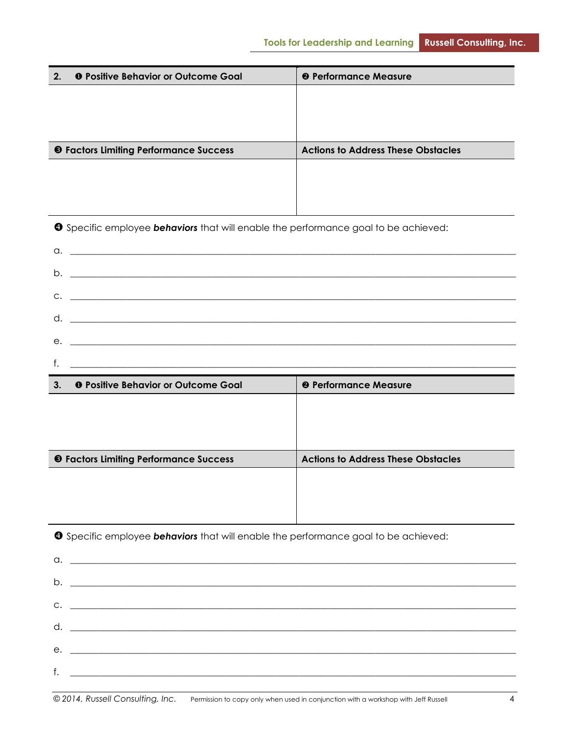| 2. | <b>O</b> Positive Behavior or Outcome Goal                                                        | <sup>@</sup> Performance Measure          |
|----|---------------------------------------------------------------------------------------------------|-------------------------------------------|
|    |                                                                                                   |                                           |
|    |                                                                                                   |                                           |
|    |                                                                                                   |                                           |
|    | <b>6</b> Factors Limiting Performance Success                                                     | <b>Actions to Address These Obstacles</b> |
|    |                                                                                                   |                                           |
|    |                                                                                                   |                                           |
|    |                                                                                                   |                                           |
|    | <b>O</b> Specific employee <b>behaviors</b> that will enable the performance goal to be achieved: |                                           |
|    |                                                                                                   |                                           |
|    |                                                                                                   |                                           |
|    |                                                                                                   |                                           |
|    |                                                                                                   |                                           |
|    |                                                                                                   |                                           |
|    |                                                                                                   |                                           |
|    |                                                                                                   |                                           |
| 3. | <b>O</b> Positive Behavior or Outcome Goal                                                        | <sup>@</sup> Performance Measure          |
|    |                                                                                                   |                                           |
|    |                                                                                                   |                                           |
|    |                                                                                                   |                                           |
|    | <b>6</b> Factors Limiting Performance Success                                                     | <b>Actions to Address These Obstacles</b> |
|    |                                                                                                   |                                           |
|    |                                                                                                   |                                           |
|    |                                                                                                   |                                           |
|    | <b>3</b> Specific employee behaviors that will enable the performance goal to be achieved:        |                                           |
|    |                                                                                                   |                                           |
|    |                                                                                                   |                                           |
|    | $C.$ $\qquad \qquad$                                                                              |                                           |
| d. |                                                                                                   |                                           |
| е. |                                                                                                   |                                           |

 $f.$   $\Box$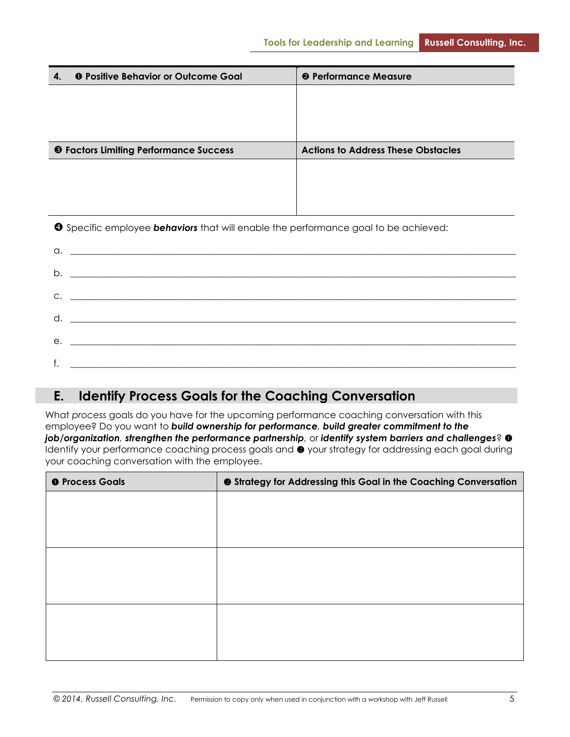| <b>O</b> Positive Behavior or Outcome Goal<br>4.                                                  | <sup>2</sup> Performance Measure          |
|---------------------------------------------------------------------------------------------------|-------------------------------------------|
|                                                                                                   |                                           |
|                                                                                                   |                                           |
|                                                                                                   |                                           |
| <b>6</b> Factors Limiting Performance Success                                                     | <b>Actions to Address These Obstacles</b> |
|                                                                                                   |                                           |
|                                                                                                   |                                           |
|                                                                                                   |                                           |
| <b>O</b> Specific employee <b>behaviors</b> that will enable the performance goal to be achieved: |                                           |
| a.                                                                                                |                                           |
| b.                                                                                                |                                           |
|                                                                                                   |                                           |

| е.  |  |
|-----|--|
|     |  |
|     |  |
| . . |  |
|     |  |

# **E. Identify Process Goals for the Coaching Conversation**

What *process* goals do you have for the upcoming performance coaching conversation with this employee? Do you want to *build ownership for performance, build greater commitment to the job/organization, strengthen the performance partnership,* or *identify system barriers and challenges*? Identify your performance coaching process goals and  $\bullet$  your strategy for addressing each goal during your coaching conversation with the employee.

| <b>O</b> Process Goals | <b>@</b> Strategy for Addressing this Goal in the Coaching Conversation |
|------------------------|-------------------------------------------------------------------------|
|                        |                                                                         |
|                        |                                                                         |
|                        |                                                                         |
|                        |                                                                         |
|                        |                                                                         |
|                        |                                                                         |
|                        |                                                                         |
|                        |                                                                         |
|                        |                                                                         |